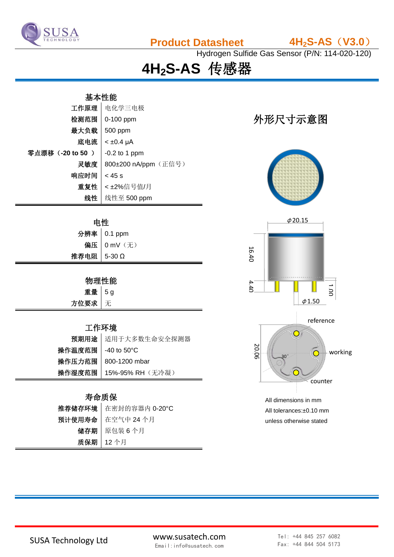

**Product Datasheet 4H2S-AS**(**V3.0**)

Hydrogen Sulfide Gas Sensor (P/N: 114-020-120)

**4H2S-AS** 传感器

# 基本性能 工作原理 电化学三电极  $\frac{1}{2}$ 检测范围 | 0-100 ppm | 1000 mm | 1000 mm | 1000 mm | 1000 mm | 1000 mm | 1000 mm | 1000 mm | 1000 mm | 100 最大负载 | 500 ppm  $R$ 电流  $|$  < ±0.4 μA 零点漂移(-20 to 50)  $\Big|$  -0.2 to 1 ppm 灵敏度 800±200 nA/ppm (正信号) 响应时间  $|$  < 45 s 重复性 < ±2%信号值/月 线性 线性至 500 ppm

| 申性            |               |  |
|---------------|---------------|--|
|               | 分辨率 0.1 ppm   |  |
|               | 偏压   0 mV (无) |  |
| 推荐电阻   5-30 Ω |               |  |

## 物理性能

| 重量 5g  |  |
|--------|--|
| 方位要求 无 |  |

### 工作环境

|                     | 预期用途 适用于大多数生命安全探测器      |
|---------------------|-------------------------|
| 操作温度范围   -40 to 50℃ |                         |
|                     | 操作压力范围   800-1200 mbar  |
|                     | 操作湿度范围 15%-95% RH (无冷凝) |

## 寿命质保

| 推荐储存环境 在密封的容器内 0-20°C |
|-----------------------|
| 预计使用寿命   在空气中 24 个月   |
| 储存期   原包装6个月          |
| 质保期   12个月            |





All tolerances:±0.10 mm unless otherwise stated

SUSA Technology Ltd www.susatech.com Email:info@susatech.com